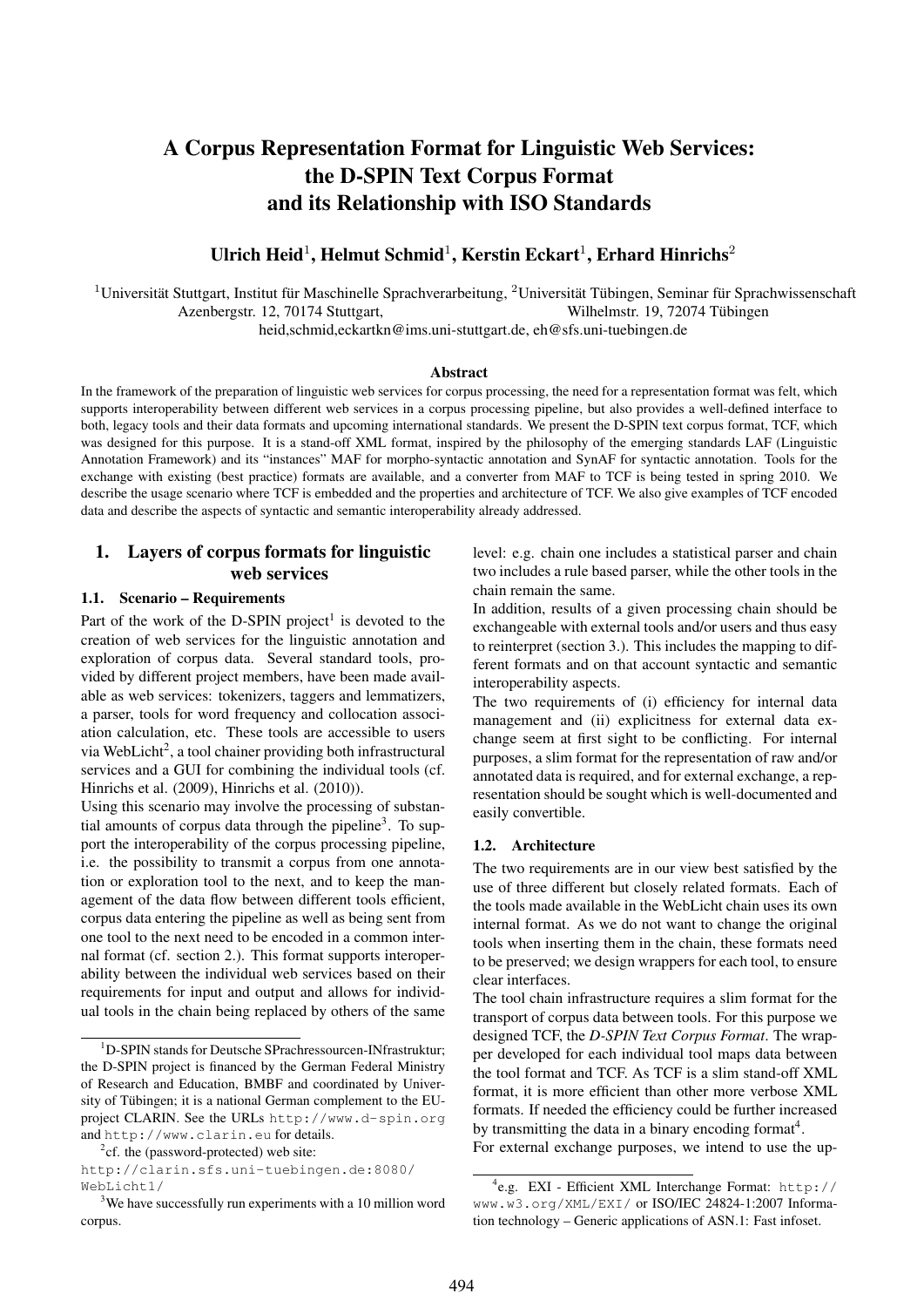# A Corpus Representation Format for Linguistic Web Services: the D-SPIN Text Corpus Format and its Relationship with ISO Standards

# Ulrich Heid<sup>1</sup>, Helmut Schmid<sup>1</sup>, Kerstin Eckart<sup>1</sup>, Erhard Hinrichs<sup>2</sup>

 $1$ Universität Stuttgart, Institut für Maschinelle Sprachverarbeitung,  $2$ Universität Tübingen, Seminar für Sprachwissenschaft Azenbergstr. 12, 70174 Stuttgart, Wilhelmstr. 19, 72074 Tübingen

heid,schmid,eckartkn@ims.uni-stuttgart.de, eh@sfs.uni-tuebingen.de

#### Abstract

In the framework of the preparation of linguistic web services for corpus processing, the need for a representation format was felt, which supports interoperability between different web services in a corpus processing pipeline, but also provides a well-defined interface to both, legacy tools and their data formats and upcoming international standards. We present the D-SPIN text corpus format, TCF, which was designed for this purpose. It is a stand-off XML format, inspired by the philosophy of the emerging standards LAF (Linguistic Annotation Framework) and its "instances" MAF for morpho-syntactic annotation and SynAF for syntactic annotation. Tools for the exchange with existing (best practice) formats are available, and a converter from MAF to TCF is being tested in spring 2010. We describe the usage scenario where TCF is embedded and the properties and architecture of TCF. We also give examples of TCF encoded data and describe the aspects of syntactic and semantic interoperability already addressed.

# 1. Layers of corpus formats for linguistic web services

#### 1.1. Scenario – Requirements

Part of the work of the D-SPIN project<sup>1</sup> is devoted to the creation of web services for the linguistic annotation and exploration of corpus data. Several standard tools, provided by different project members, have been made available as web services: tokenizers, taggers and lemmatizers, a parser, tools for word frequency and collocation association calculation, etc. These tools are accessible to users via WebLicht<sup>2</sup>, a tool chainer providing both infrastructural services and a GUI for combining the individual tools (cf. Hinrichs et al. (2009), Hinrichs et al. (2010)).

Using this scenario may involve the processing of substantial amounts of corpus data through the pipeline<sup>3</sup>. To support the interoperability of the corpus processing pipeline, i.e. the possibility to transmit a corpus from one annotation or exploration tool to the next, and to keep the management of the data flow between different tools efficient, corpus data entering the pipeline as well as being sent from one tool to the next need to be encoded in a common internal format (cf. section 2.). This format supports interoperability between the individual web services based on their requirements for input and output and allows for individual tools in the chain being replaced by others of the same level: e.g. chain one includes a statistical parser and chain two includes a rule based parser, while the other tools in the chain remain the same.

In addition, results of a given processing chain should be exchangeable with external tools and/or users and thus easy to reinterpret (section 3.). This includes the mapping to different formats and on that account syntactic and semantic interoperability aspects.

The two requirements of (i) efficiency for internal data management and (ii) explicitness for external data exchange seem at first sight to be conflicting. For internal purposes, a slim format for the representation of raw and/or annotated data is required, and for external exchange, a representation should be sought which is well-documented and easily convertible.

#### 1.2. Architecture

The two requirements are in our view best satisfied by the use of three different but closely related formats. Each of the tools made available in the WebLicht chain uses its own internal format. As we do not want to change the original tools when inserting them in the chain, these formats need to be preserved; we design wrappers for each tool, to ensure clear interfaces.

The tool chain infrastructure requires a slim format for the transport of corpus data between tools. For this purpose we designed TCF, the *D-SPIN Text Corpus Format*. The wrapper developed for each individual tool maps data between the tool format and TCF. As TCF is a slim stand-off XML format, it is more efficient than other more verbose XML formats. If needed the efficiency could be further increased by transmitting the data in a binary encoding format<sup>4</sup>.

For external exchange purposes, we intend to use the up-

<sup>&</sup>lt;sup>1</sup>D-SPIN stands for Deutsche SPrachressourcen-INfrastruktur; the D-SPIN project is financed by the German Federal Ministry of Research and Education, BMBF and coordinated by University of Tübingen; it is a national German complement to the EUproject CLARIN. See the URLs http://www.d-spin.org and http://www.clarin.eu for details.

<sup>&</sup>lt;sup>2</sup>cf. the (password-protected) web site:

http://clarin.sfs.uni-tuebingen.de:8080/ WebLicht1/

<sup>&</sup>lt;sup>3</sup>We have successfully run experiments with a 10 million word corpus.

<sup>4</sup> e.g. EXI - Efficient XML Interchange Format: http:// www.w3.org/XML/EXI/ or ISO/IEC 24824-1:2007 Information technology – Generic applications of ASN.1: Fast infoset.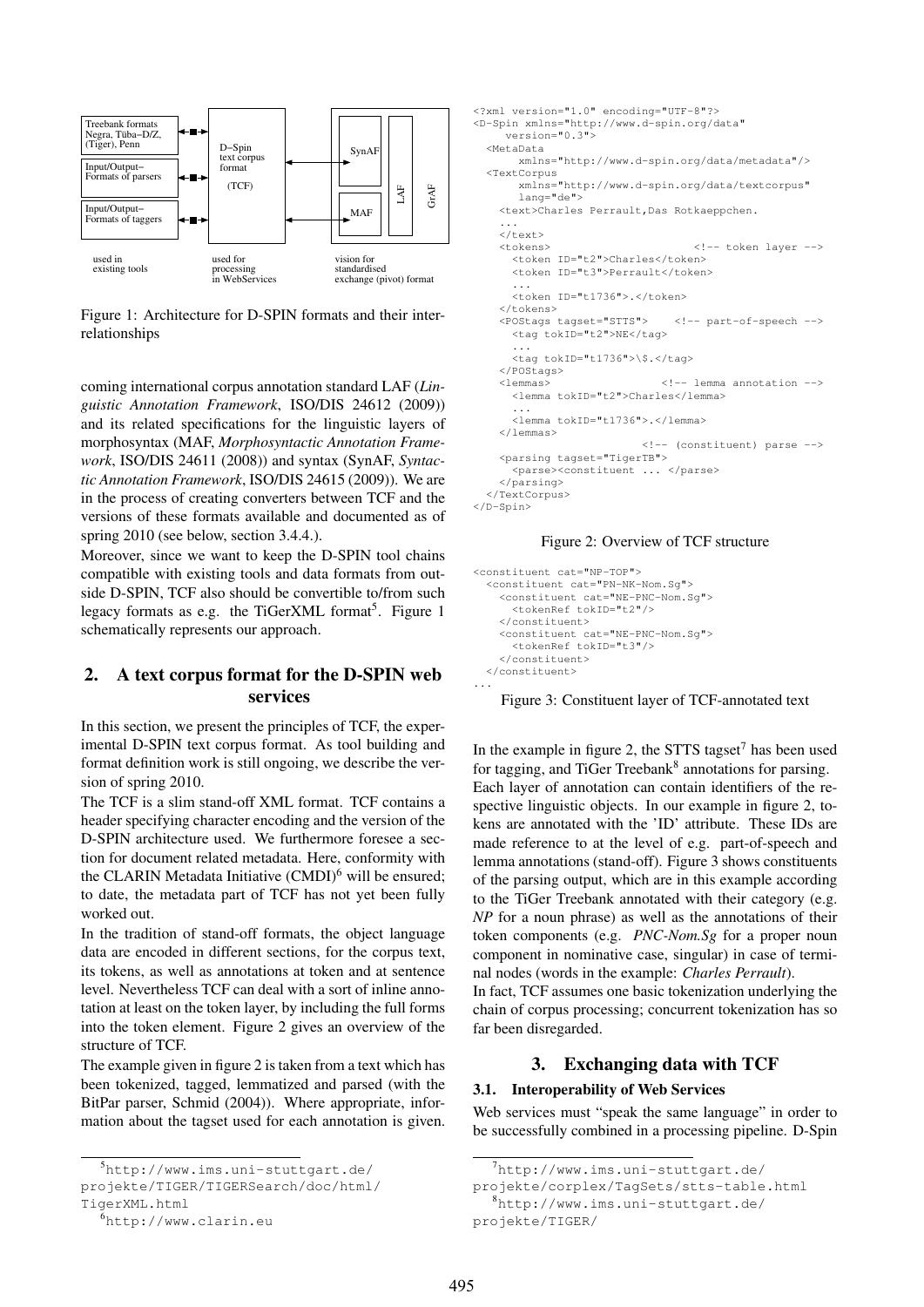

Figure 1: Architecture for D-SPIN formats and their interrelationships

coming international corpus annotation standard LAF (*Linguistic Annotation Framework*, ISO/DIS 24612 (2009)) and its related specifications for the linguistic layers of morphosyntax (MAF, *Morphosyntactic Annotation Framework*, ISO/DIS 24611 (2008)) and syntax (SynAF, *Syntactic Annotation Framework*, ISO/DIS 24615 (2009)). We are in the process of creating converters between TCF and the versions of these formats available and documented as of spring 2010 (see below, section 3.4.4.).

Moreover, since we want to keep the D-SPIN tool chains compatible with existing tools and data formats from outside D-SPIN, TCF also should be convertible to/from such legacy formats as e.g. the TiGerXML format<sup>5</sup>. Figure 1 schematically represents our approach.

# 2. A text corpus format for the D-SPIN web services

In this section, we present the principles of TCF, the experimental D-SPIN text corpus format. As tool building and format definition work is still ongoing, we describe the version of spring 2010.

The TCF is a slim stand-off XML format. TCF contains a header specifying character encoding and the version of the D-SPIN architecture used. We furthermore foresee a section for document related metadata. Here, conformity with the CLARIN Metadata Initiative  $(CMDI)^6$  will be ensured: to date, the metadata part of TCF has not yet been fully worked out.

In the tradition of stand-off formats, the object language data are encoded in different sections, for the corpus text, its tokens, as well as annotations at token and at sentence level. Nevertheless TCF can deal with a sort of inline annotation at least on the token layer, by including the full forms into the token element. Figure 2 gives an overview of the structure of TCF.

The example given in figure 2 is taken from a text which has been tokenized, tagged, lemmatized and parsed (with the BitPar parser, Schmid (2004)). Where appropriate, information about the tagset used for each annotation is given.

```
5http://www.ims.uni-stuttgart.de/
projekte/TIGER/TIGERSearch/doc/html/
```

```
TigerXML.html
```

```
6http://www.clarin.eu
```

```
<?xml version="1.0" encoding="UTF-8"?>
<D-Spin xmlns="http://www.d-spin.org/data"
    version="0.3">
  <MetaData
      xmlns="http://www.d-spin.org/data/metadata"/>
  <TextCorpus
      xmlns="http://www.d-spin.org/data/textcorpus"
      lang="de">
    <text>Charles Perrault,Das Rotkaeppchen.
    ...
    \langle/text>
    <tokens> <!-- token layer -->
      <token ID="t2">Charles</token>
      <token ID="t3">Perrault</token>
      ...
      <token ID="t1736">.</token>
    </tokens>
    <POStags tagset="STTS"> <!-- part-of-speech -->
      <tag tokID="t2">NE</tag>
      ...
      <tag tokID="t1736">\$.</tag>
    </POStags>
                             <!-- lemma annotation -->
      <lemma tokID="t2">Charles</lemma>
      ...
<lemma tokID="t1736">.</lemma>
    </lemmas>
                          <!-- (constituent) parse -->
    <parsing tagset="TigerTB">
      <parse><constituent ... </parse>
    </parsing>
  </TextCorpus>
</D-Spin>
```
#### Figure 2: Overview of TCF structure

```
<constituent cat="NP-TOP">
  <constituent cat="PN-NK-Nom.Sg">
    <constituent cat="NE-PNC-Nom.Sg">
      <tokenRef tokID="t2"/>
    </constituent>
    <constituent cat="NE-PNC-Nom.Sg">
      <tokenRef tokID="t3"/>
    </constituent>
 </constituent>
...
```
#### Figure 3: Constituent layer of TCF-annotated text

In the example in figure 2, the STTS tagset<sup>7</sup> has been used for tagging, and TiGer Treebank<sup>8</sup> annotations for parsing. Each layer of annotation can contain identifiers of the respective linguistic objects. In our example in figure 2, tokens are annotated with the 'ID' attribute. These IDs are made reference to at the level of e.g. part-of-speech and lemma annotations (stand-off). Figure 3 shows constituents of the parsing output, which are in this example according to the TiGer Treebank annotated with their category (e.g. *NP* for a noun phrase) as well as the annotations of their token components (e.g. *PNC-Nom.Sg* for a proper noun component in nominative case, singular) in case of terminal nodes (words in the example: *Charles Perrault*).

In fact, TCF assumes one basic tokenization underlying the chain of corpus processing; concurrent tokenization has so far been disregarded.

### 3. Exchanging data with TCF

#### 3.1. Interoperability of Web Services

Web services must "speak the same language" in order to be successfully combined in a processing pipeline. D-Spin

```
projekte/TIGER/
```
 $7$ http://www.ims.uni-stuttgart.de/

projekte/corplex/TagSets/stts-table.html

<sup>8</sup>http://www.ims.uni-stuttgart.de/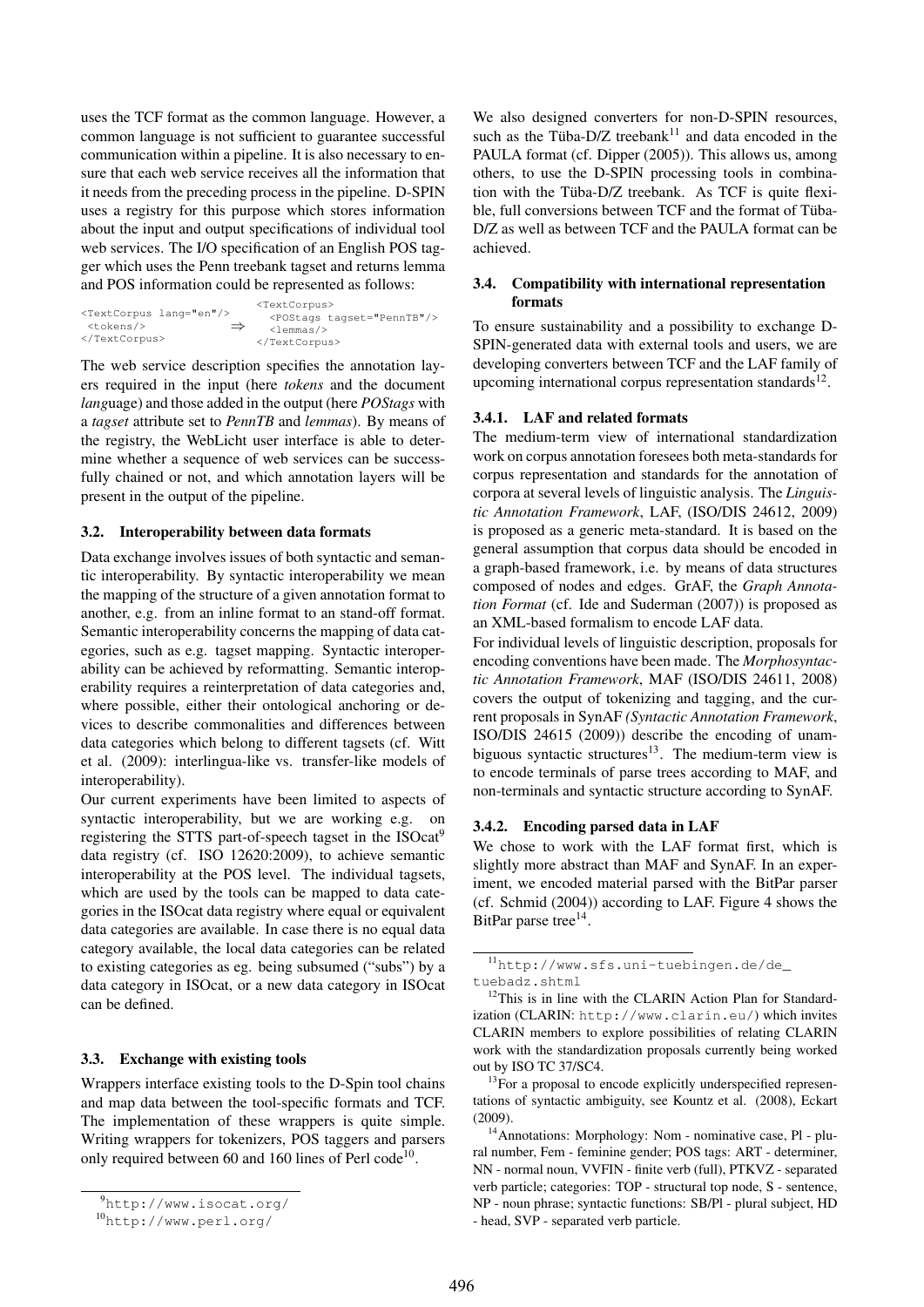uses the TCF format as the common language. However, a common language is not sufficient to guarantee successful communication within a pipeline. It is also necessary to ensure that each web service receives all the information that it needs from the preceding process in the pipeline. D-SPIN uses a registry for this purpose which stores information about the input and output specifications of individual tool web services. The I/O specification of an English POS tagger which uses the Penn treebank tagset and returns lemma and POS information could be represented as follows:

|                                     | <textcorpus></textcorpus>           |
|-------------------------------------|-------------------------------------|
| <textcorpus lang="en"></textcorpus> | <postags tagset="PennTB"></postags> |
| $<$ tokens/><br>$\Rightarrow$       | $\lambda$ -change $\lambda$         |
|                                     |                                     |

The web service description specifies the annotation layers required in the input (here *tokens* and the document *lang*uage) and those added in the output (here *POStags* with a *tagset* attribute set to *PennTB* and *lemmas*). By means of the registry, the WebLicht user interface is able to determine whether a sequence of web services can be successfully chained or not, and which annotation layers will be present in the output of the pipeline.

#### 3.2. Interoperability between data formats

Data exchange involves issues of both syntactic and semantic interoperability. By syntactic interoperability we mean the mapping of the structure of a given annotation format to another, e.g. from an inline format to an stand-off format. Semantic interoperability concerns the mapping of data categories, such as e.g. tagset mapping. Syntactic interoperability can be achieved by reformatting. Semantic interoperability requires a reinterpretation of data categories and, where possible, either their ontological anchoring or devices to describe commonalities and differences between data categories which belong to different tagsets (cf. Witt et al. (2009): interlingua-like vs. transfer-like models of interoperability).

Our current experiments have been limited to aspects of syntactic interoperability, but we are working e.g. on registering the STTS part-of-speech tagset in the ISOcat<sup>9</sup> data registry (cf. ISO 12620:2009), to achieve semantic interoperability at the POS level. The individual tagsets, which are used by the tools can be mapped to data categories in the ISOcat data registry where equal or equivalent data categories are available. In case there is no equal data category available, the local data categories can be related to existing categories as eg. being subsumed ("subs") by a data category in ISOcat, or a new data category in ISOcat can be defined.

#### 3.3. Exchange with existing tools

Wrappers interface existing tools to the D-Spin tool chains and map data between the tool-specific formats and TCF. The implementation of these wrappers is quite simple. Writing wrappers for tokenizers, POS taggers and parsers only required between 60 and 160 lines of Perl code<sup>10</sup>.

We also designed converters for non-D-SPIN resources, such as the Tüba-D/Z treebank<sup>11</sup> and data encoded in the PAULA format (cf. Dipper (2005)). This allows us, among others, to use the D-SPIN processing tools in combination with the Tüba-D/Z treebank. As TCF is quite flexible, full conversions between TCF and the format of Tüba-D/Z as well as between TCF and the PAULA format can be achieved.

## 3.4. Compatibility with international representation formats

To ensure sustainability and a possibility to exchange D-SPIN-generated data with external tools and users, we are developing converters between TCF and the LAF family of upcoming international corpus representation standards $^{12}$ .

# 3.4.1. LAF and related formats

The medium-term view of international standardization work on corpus annotation foresees both meta-standards for corpus representation and standards for the annotation of corpora at several levels of linguistic analysis. The *Linguistic Annotation Framework*, LAF, (ISO/DIS 24612, 2009) is proposed as a generic meta-standard. It is based on the general assumption that corpus data should be encoded in a graph-based framework, i.e. by means of data structures composed of nodes and edges. GrAF, the *Graph Annotation Format* (cf. Ide and Suderman (2007)) is proposed as an XML-based formalism to encode LAF data.

For individual levels of linguistic description, proposals for encoding conventions have been made. The *Morphosyntactic Annotation Framework*, MAF (ISO/DIS 24611, 2008) covers the output of tokenizing and tagging, and the current proposals in SynAF *(Syntactic Annotation Framework*, ISO/DIS 24615 (2009)) describe the encoding of unambiguous syntactic structures<sup>13</sup>. The medium-term view is to encode terminals of parse trees according to MAF, and non-terminals and syntactic structure according to SynAF.

# 3.4.2. Encoding parsed data in LAF

We chose to work with the LAF format first, which is slightly more abstract than MAF and SynAF. In an experiment, we encoded material parsed with the BitPar parser (cf. Schmid (2004)) according to LAF. Figure 4 shows the BitPar parse tree<sup>14</sup>.

<sup>9</sup>http://www.isocat.org/

<sup>10</sup>http://www.perl.org/

<sup>11</sup>http://www.sfs.uni-tuebingen.de/de\_ tuebadz.shtml

<sup>&</sup>lt;sup>12</sup>This is in line with the CLARIN Action Plan for Standardization (CLARIN: http://www.clarin.eu/) which invites CLARIN members to explore possibilities of relating CLARIN work with the standardization proposals currently being worked out by ISO TC 37/SC4.

 $13$  For a proposal to encode explicitly underspecified representations of syntactic ambiguity, see Kountz et al. (2008), Eckart (2009).

<sup>14</sup>Annotations: Morphology: Nom - nominative case, Pl - plural number, Fem - feminine gender; POS tags: ART - determiner, NN - normal noun, VVFIN - finite verb (full), PTKVZ - separated verb particle; categories: TOP - structural top node, S - sentence, NP - noun phrase; syntactic functions: SB/Pl - plural subject, HD - head, SVP - separated verb particle.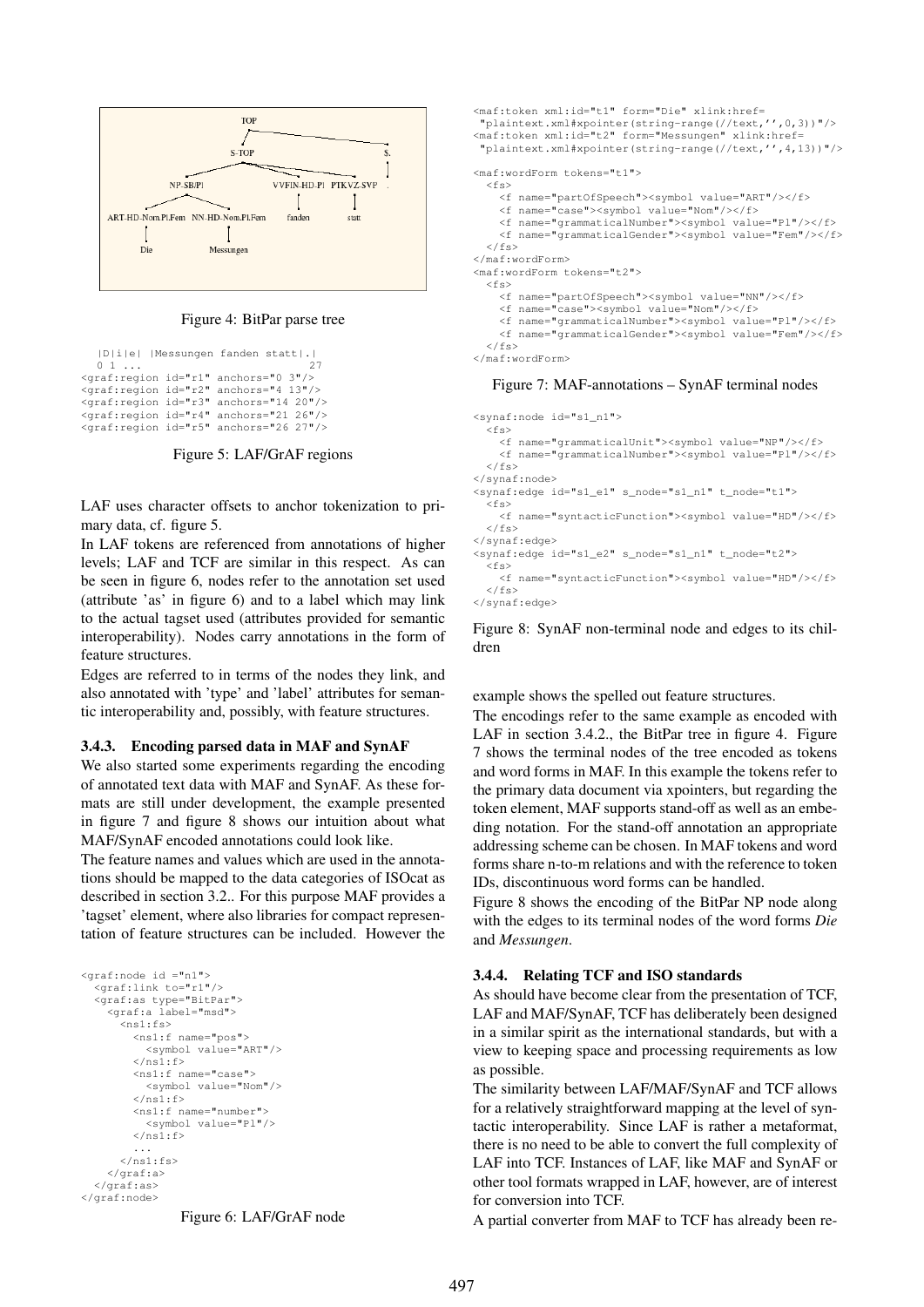

Figure 4: BitPar parse tree

```
|D|i|e| |Messungen fanden statt|.|
   0 \quad 1 \quad ... 27
<graf:region id="r1" anchors="0 3"/>
<graf:region id="r2" anchors="4 13"/>
<graf:region id="r3" anchors="14 20"/>
<graf:region id="r4" anchors="21 26"/>
<graf:region id="r5" anchors="26 27"/>
```
Figure 5: LAF/GrAF regions

LAF uses character offsets to anchor tokenization to primary data, cf. figure 5.

In LAF tokens are referenced from annotations of higher levels; LAF and TCF are similar in this respect. As can be seen in figure 6, nodes refer to the annotation set used (attribute 'as' in figure 6) and to a label which may link to the actual tagset used (attributes provided for semantic interoperability). Nodes carry annotations in the form of feature structures.

Edges are referred to in terms of the nodes they link, and also annotated with 'type' and 'label' attributes for semantic interoperability and, possibly, with feature structures.

#### 3.4.3. Encoding parsed data in MAF and SynAF

We also started some experiments regarding the encoding of annotated text data with MAF and SynAF. As these formats are still under development, the example presented in figure 7 and figure 8 shows our intuition about what MAF/SynAF encoded annotations could look like.

The feature names and values which are used in the annotations should be mapped to the data categories of ISOcat as described in section 3.2.. For this purpose MAF provides a 'tagset' element, where also libraries for compact representation of feature structures can be included. However the

```
<graf:node id ="n1">
  <graf:link to="r1"/>
  <graf:as type="BitPar">
     <graf:a label="msd">
       <sub>ns1</sub>:fs<sup>></sup></sub>
          <ns1:f name="pos">
            <symbol value="ART"/>
          \langle/ns1\cdotf>
          <ns1:f name="case">
            <symbol value="Nom"/>
          \langle/ns1:f>
          <ns1:f name="number">
            <symbol value="Pl"/>
          \langle/ns1:f>
       ...
</ns1:fs>
    </graf:a>
  </graf:as>
</graf:node>
```

```
Figure 6: LAF/GrAF node
```

```
<maf:token xml:id="t1" form="Die" xlink:href=
 "plaintext.xml#xpointer(string-range(//text,'',0,3))"/>
<maf:token xml:id="t2" form="Messungen" xlink:href=
 "plaintext.xml#xpointer(string-range(//text,'',4,13))"/>
<maf:wordForm tokens="t1">
  \leqfs>
    <f name="partOfSpeech"><symbol value="ART"/></f>
             .<br>"case"><symbol value="Nom"/></f>
    <f name="grammaticalNumber"><symbol value="Pl"/></f>
    <f name="grammaticalGender"><symbol value="Fem"/></f>
  \langle/fs>
</maf:wordForm>
<maf:wordForm tokens="t2">
  <fs>
    <f name="partOfSpeech"><symbol value="NN"/></f>
    <f name="case"><symbol value="Nom"/></f>
    <f name="grammaticalNumber"><symbol value="Pl"/></f>
    <f name="grammaticalGender"><symbol value="Fem"/></f>
  \langle / f<sub>S</sub>></maf:wordForm>
   Figure 7: MAF-annotations – SynAF terminal nodes
```

```
<synaf:node id="s1_n1">
  <fs>
    <f name="grammaticalUnit"><symbol value="NP"/></f>
    <f name="grammaticalNumber"><symbol value="Pl"/></f>
  \langle/fs>
</synaf:node>
<synaf:edge id="s1_e1" s_node="s1_n1" t_node="t1">
  <fs>
    <f name="syntacticFunction"><symbol value="HD"/></f>
  \langle/fs>
</synaf:edge>
<synaf:edge id="s1_e2" s_node="s1_n1" t_node="t2">
  <fs>
    <f name="syntacticFunction"><symbol value="HD"/></f>
  \langle/fs>
</synaf:edge>
```
Figure 8: SynAF non-terminal node and edges to its children

example shows the spelled out feature structures.

The encodings refer to the same example as encoded with LAF in section 3.4.2., the BitPar tree in figure 4. Figure 7 shows the terminal nodes of the tree encoded as tokens and word forms in MAF. In this example the tokens refer to the primary data document via xpointers, but regarding the token element, MAF supports stand-off as well as an embeding notation. For the stand-off annotation an appropriate addressing scheme can be chosen. In MAF tokens and word forms share n-to-m relations and with the reference to token IDs, discontinuous word forms can be handled.

Figure 8 shows the encoding of the BitPar NP node along with the edges to its terminal nodes of the word forms *Die* and *Messungen*.

#### 3.4.4. Relating TCF and ISO standards

As should have become clear from the presentation of TCF, LAF and MAF/SynAF, TCF has deliberately been designed in a similar spirit as the international standards, but with a view to keeping space and processing requirements as low as possible.

The similarity between LAF/MAF/SynAF and TCF allows for a relatively straightforward mapping at the level of syntactic interoperability. Since LAF is rather a metaformat, there is no need to be able to convert the full complexity of LAF into TCF. Instances of LAF, like MAF and SynAF or other tool formats wrapped in LAF, however, are of interest for conversion into TCF.

A partial converter from MAF to TCF has already been re-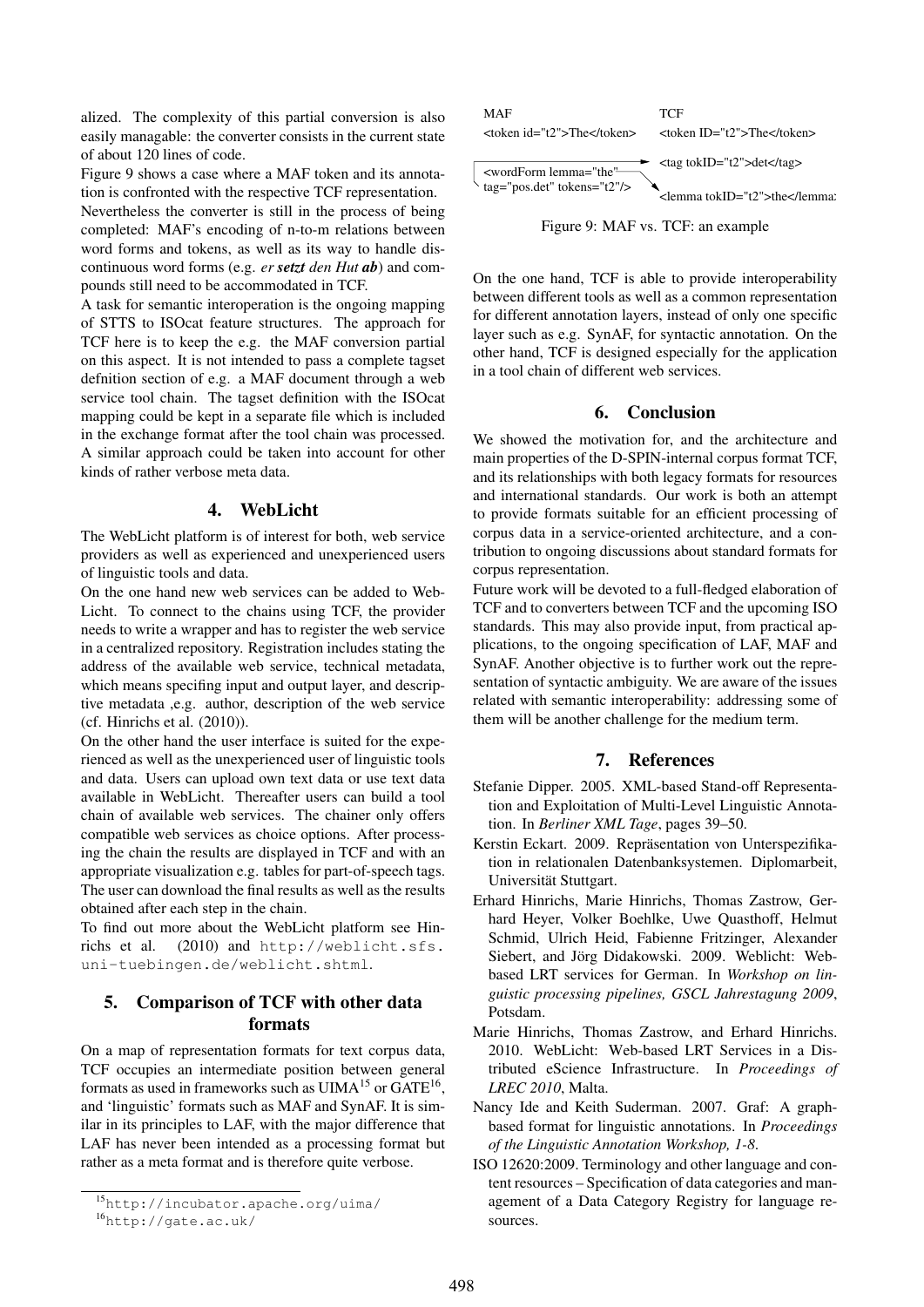alized. The complexity of this partial conversion is also easily managable: the converter consists in the current state of about 120 lines of code.

Figure 9 shows a case where a MAF token and its annotation is confronted with the respective TCF representation.

Nevertheless the converter is still in the process of being completed: MAF's encoding of n-to-m relations between word forms and tokens, as well as its way to handle discontinuous word forms (e.g. *er setzt den Hut ab*) and compounds still need to be accommodated in TCF.

A task for semantic interoperation is the ongoing mapping of STTS to ISOcat feature structures. The approach for TCF here is to keep the e.g. the MAF conversion partial on this aspect. It is not intended to pass a complete tagset defnition section of e.g. a MAF document through a web service tool chain. The tagset definition with the ISOcat mapping could be kept in a separate file which is included in the exchange format after the tool chain was processed. A similar approach could be taken into account for other kinds of rather verbose meta data.

## 4. WebLicht

The WebLicht platform is of interest for both, web service providers as well as experienced and unexperienced users of linguistic tools and data.

On the one hand new web services can be added to Web-Licht. To connect to the chains using TCF, the provider needs to write a wrapper and has to register the web service in a centralized repository. Registration includes stating the address of the available web service, technical metadata, which means specifing input and output layer, and descriptive metadata ,e.g. author, description of the web service (cf. Hinrichs et al. (2010)).

On the other hand the user interface is suited for the experienced as well as the unexperienced user of linguistic tools and data. Users can upload own text data or use text data available in WebLicht. Thereafter users can build a tool chain of available web services. The chainer only offers compatible web services as choice options. After processing the chain the results are displayed in TCF and with an appropriate visualization e.g. tables for part-of-speech tags. The user can download the final results as well as the results obtained after each step in the chain.

To find out more about the WebLicht platform see Hinrichs et al. (2010) and http://weblicht.sfs. uni-tuebingen.de/weblicht.shtml.

# 5. Comparison of TCF with other data formats

On a map of representation formats for text corpus data, TCF occupies an intermediate position between general formats as used in frameworks such as  $UIMA<sup>15</sup>$  or  $GATE<sup>16</sup>$ , and 'linguistic' formats such as MAF and SynAF. It is similar in its principles to LAF, with the major difference that LAF has never been intended as a processing format but rather as a meta format and is therefore quite verbose.



On the one hand, TCF is able to provide interoperability between different tools as well as a common representation for different annotation layers, instead of only one specific layer such as e.g. SynAF, for syntactic annotation. On the other hand, TCF is designed especially for the application in a tool chain of different web services.

### 6. Conclusion

We showed the motivation for, and the architecture and main properties of the D-SPIN-internal corpus format TCF, and its relationships with both legacy formats for resources and international standards. Our work is both an attempt to provide formats suitable for an efficient processing of corpus data in a service-oriented architecture, and a contribution to ongoing discussions about standard formats for corpus representation.

Future work will be devoted to a full-fledged elaboration of TCF and to converters between TCF and the upcoming ISO standards. This may also provide input, from practical applications, to the ongoing specification of LAF, MAF and SynAF. Another objective is to further work out the representation of syntactic ambiguity. We are aware of the issues related with semantic interoperability: addressing some of them will be another challenge for the medium term.

# 7. References

- Stefanie Dipper. 2005. XML-based Stand-off Representation and Exploitation of Multi-Level Linguistic Annotation. In *Berliner XML Tage*, pages 39–50.
- Kerstin Eckart. 2009. Repräsentation von Unterspezifikation in relationalen Datenbanksystemen. Diplomarbeit, Universität Stuttgart.
- Erhard Hinrichs, Marie Hinrichs, Thomas Zastrow, Gerhard Heyer, Volker Boehlke, Uwe Quasthoff, Helmut Schmid, Ulrich Heid, Fabienne Fritzinger, Alexander Siebert, and Jörg Didakowski. 2009. Weblicht: Webbased LRT services for German. In *Workshop on linguistic processing pipelines, GSCL Jahrestagung 2009*, Potsdam.
- Marie Hinrichs, Thomas Zastrow, and Erhard Hinrichs. 2010. WebLicht: Web-based LRT Services in a Distributed eScience Infrastructure. In *Proceedings of LREC 2010*, Malta.
- Nancy Ide and Keith Suderman. 2007. Graf: A graphbased format for linguistic annotations. In *Proceedings of the Linguistic Annotation Workshop, 1-8*.
- ISO 12620:2009. Terminology and other language and content resources – Specification of data categories and management of a Data Category Registry for language resources.

<sup>15</sup>http://incubator.apache.org/uima/ <sup>16</sup>http://gate.ac.uk/